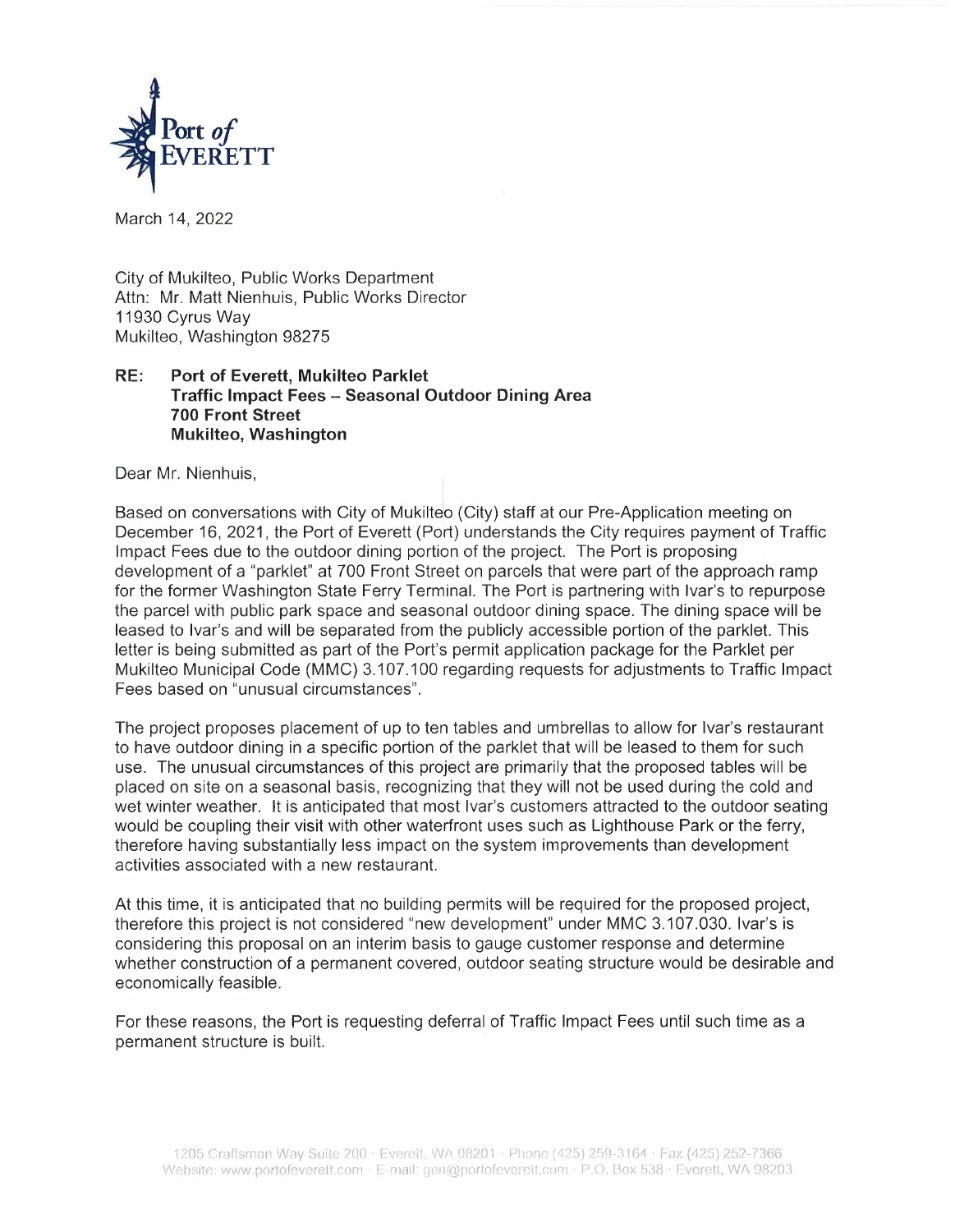

March 14, 2022

City of Mukilteo, Public Works Department Attn: Mr. Matt Nienhuis, Public Works Director 11930 Cyrus Way Mukilteo, Washington 98275

## **RE: Port of Everett, Mukilteo Parklet Traffic Impact Fees - Seasonal Outdoor Dining Area 700 Front Street Mukilteo, Washington**

Dear Mr. Nienhuis,

Based on conversations with City of Mukilteo (City) staff at our Pre-Application meeting on December 16, 2021, the Port of Everett (Port) understands the City requires payment of Traffic Impact Fees due to the outdoor dining portion of the project. The Port is proposing development of a "parklet" at 700 Front Street on parcels that were part of the approach ramp for the former Washington State Ferry Terminal. The Port is partnering with Ivar's to repurpose the parcel with public park space and seasonal outdoor dining space. The dining space will be leased to Ivar's and will be separated from the publicly accessible portion of the parklet. This letter is being submitted as part of the Port's permit application package for the Parklet per Mukilteo Municipal Code **(MMC)** 3.107.100 regarding requests for adjustments to Traffic Impact Fees based on "unusual circumstances".

The project proposes placement of up to ten tables and umbrellas to allow for Ivar's restaurant to have outdoor dining in a specific portion of the parklet that will be leased to them for such use. The unusual circumstances of this project are primarily that the proposed tables will be placed on site on a seasonal basis, recognizing that they will not be used during the cold and wet winter weather. It is anticipated that most Ivar's customers attracted to the outdoor seating would be coupling their visit with other waterfront uses such as Lighthouse Park or the ferry, therefore having substantially less impact on the system improvements than development activities associated with a new restaurant.

At this time, it is anticipated that no building permits will be required for the proposed project, therefore this project is not considered "new development" under MMC 3.107.030. Ivar's is considering this proposal on an interim basis to gauge customer response and determine whether construction of a permanent covered, outdoor seating structure would be desirable and economically feasible.

For these reasons, the Port is requesting deferral of Traffic Impact Fees until such time as a permanent structure is built.